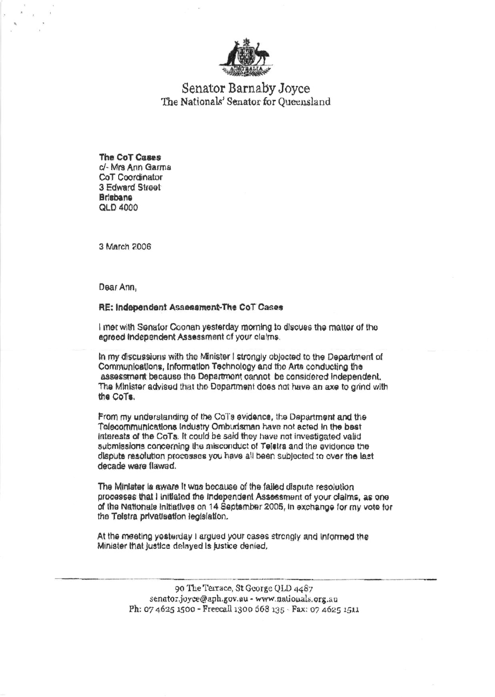

Senator Barnaby Joyce The Nationals' Senator for Oueensland

**The CoT Cases** c/- Mrs Ann Garms CoT Coordinator 3 Edward Street **Brisbane QLD 4000** 

3 March 2006

Dear Ann,

## RE: Independent Assessment-The CoT Cases

I met with Senator Coonan yesterday morning to discuss the matter of the agreed Independent Assessment of your claims.

In my discussions with the Minister | strongly objected to the Department of Communications, Information Technology and the Arts conducting the assessment because the Department cannot be considered independent. The Minister advised that the Department does not have an axe to grind with the CoTs.

From my understanding of the CoTs evidence, the Department and the Telecommunications industry Ombudsman have not acted in the best interests of the CoTs. It could be said they have not investigated valid submissions concerning the misconduct of Teletra and the evidence the dispute resolution processes you have all been subjected to over the last decade ware flawed.

The Minister is aware it was because of the failed dispute resolution processes that I initiated the Independent Assessment of your claims, as one of the Nationals initiatives on 14 September 2005, in exchange for my vote for the Telstra privatisation legislation.

At the meeting yesterday I argued your cases strongly and informed the Minister that justice delayed is justice denied,

> 90 The Terrace, St George QLD 4487 senator.joyce@aph.gov.au - www.nationals.org.au Ph: 07 4625 1500 - Freecall 1300 668 135 - Fax: 07 4625 1511